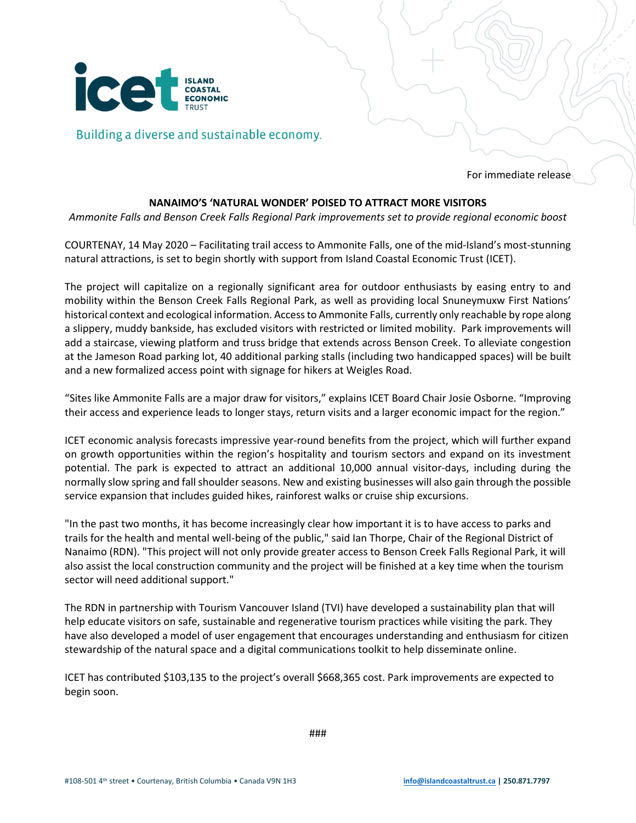

Building a diverse and sustainable economy.

For immediate release

## **NANAIMO'S 'NATURAL WONDER' POISED TO ATTRACT MORE VISITORS**

*Ammonite Falls and Benson Creek Falls Regional Park improvements set to provide regional economic boost*

COURTENAY, 14 May 2020 – Facilitating trail access to Ammonite Falls, one of the mid-Island's most-stunning natural attractions, is set to begin shortly with support from Island Coastal Economic Trust (ICET).

The project will capitalize on a regionally significant area for outdoor enthusiasts by easing entry to and mobility within the Benson Creek Falls Regional Park, as well as providing local Snuneymuxw First Nations' historical context and ecological information. Accessto Ammonite Falls, currently only reachable by rope along a slippery, muddy bankside, has excluded visitors with restricted or limited mobility. Park improvements will add a staircase, viewing platform and truss bridge that extends across Benson Creek. To alleviate congestion at the Jameson Road parking lot, 40 additional parking stalls (including two handicapped spaces) will be built and a new formalized access point with signage for hikers at Weigles Road.

"Sites like Ammonite Falls are a major draw for visitors," explains ICET Board Chair Josie Osborne. "Improving their access and experience leads to longer stays, return visits and a larger economic impact for the region."

ICET economic analysis forecasts impressive year-round benefits from the project, which will further expand on growth opportunities within the region's hospitality and tourism sectors and expand on its investment potential. The park is expected to attract an additional 10,000 annual visitor-days, including during the normally slow spring and fall shoulder seasons. New and existing businesses will also gain through the possible service expansion that includes guided hikes, rainforest walks or cruise ship excursions.

"In the past two months, it has become increasingly clear how important it is to have access to parks and trails for the health and mental well-being of the public," said Ian Thorpe, Chair of the Regional District of Nanaimo (RDN). "This project will not only provide greater access to Benson Creek Falls Regional Park, it will also assist the local construction community and the project will be finished at a key time when the tourism sector will need additional support."

The RDN in partnership with Tourism Vancouver Island (TVI) have developed a sustainability plan that will help educate visitors on safe, sustainable and regenerative tourism practices while visiting the park. They have also developed a model of user engagement that encourages understanding and enthusiasm for citizen stewardship of the natural space and a digital communications toolkit to help disseminate online.

ICET has contributed \$103,135 to the project's overall \$668,365 cost. Park improvements are expected to begin soon.